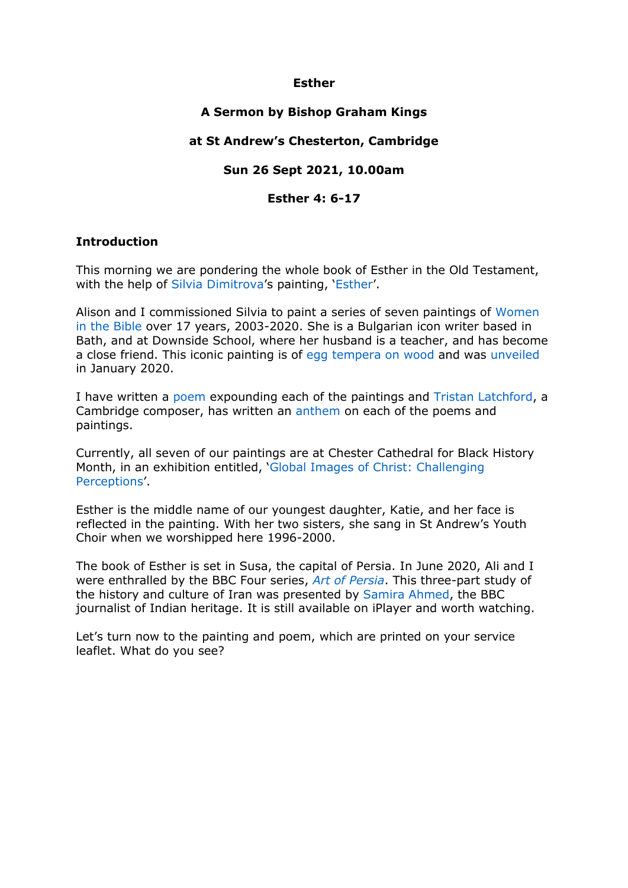## **Esther**

# **A Sermon by Bishop Graham Kings**

## **at St Andrew's Chesterton, Cambridge**

## **Sun 26 Sept 2021, 10.00am**

#### **Esther 4: 6-17**

## **Introduction**

This morning we are pondering the whole book of Esther in the Old Testament, with the help of [Silvia Dimitrova](http://www.silviadimitrova.co.uk/)'s painting, '[Esther](https://www.grahamkings.org/poem/esther/)'.

Alison and I commissioned Silvia to paint a series of seven paintings of [Women](https://www.grahamkings.org/ponderings/women-in-the-bible-/)  [in the Bible](https://www.grahamkings.org/ponderings/women-in-the-bible-/) over 17 years, 2003-2020. She is a Bulgarian icon writer based in Bath, and at Downside School, where her husband is a teacher, and has become a close friend. This iconic painting is of [egg tempera on wood](https://en.wikipedia.org/wiki/Tempera) and was [unveiled](https://vimeo.com/user117401794) in January 2020.

I have written a [poem](https://www.grahamkings.org/poems.php?sect=Poems&subsect=Art) expounding each of the paintings and [Tristan Latchford,](https://www.tristanlatchford.com/) a Cambridge composer, has written an [anthem](https://www.tristanlatchford.com/works.php?wtitle=women+in+the+bible&wsearch=Go+%3E%3E) on each of the poems and paintings.

Currently, all seven of our paintings are at Chester Cathedral for Black History Month, in an exhibition entitled, '[Global Images of Christ: Challenging](https://chestercathedral.com/event/global-images-of-christ-challenging-perceptions/all/)  [Perceptions](https://chestercathedral.com/event/global-images-of-christ-challenging-perceptions/all/)'.

Esther is the middle name of our youngest daughter, Katie, and her face is reflected in the painting. With her two sisters, she sang in St Andrew's Youth Choir when we worshipped here 1996-2000.

The book of Esther is set in Susa, the capital of Persia. In June 2020, Ali and I were enthralled by the BBC Four series, *[Art of Persia](https://www.bbc.co.uk/programmes/m000k48j)*. This three-part study of the history and culture of Iran was presented by [Samira Ahmed,](https://en.wikipedia.org/wiki/Samira_Ahmed) the BBC journalist of Indian heritage. It is still available on iPlayer and worth watching.

Let's turn now to the painting and poem, which are printed on your service leaflet. What do you see?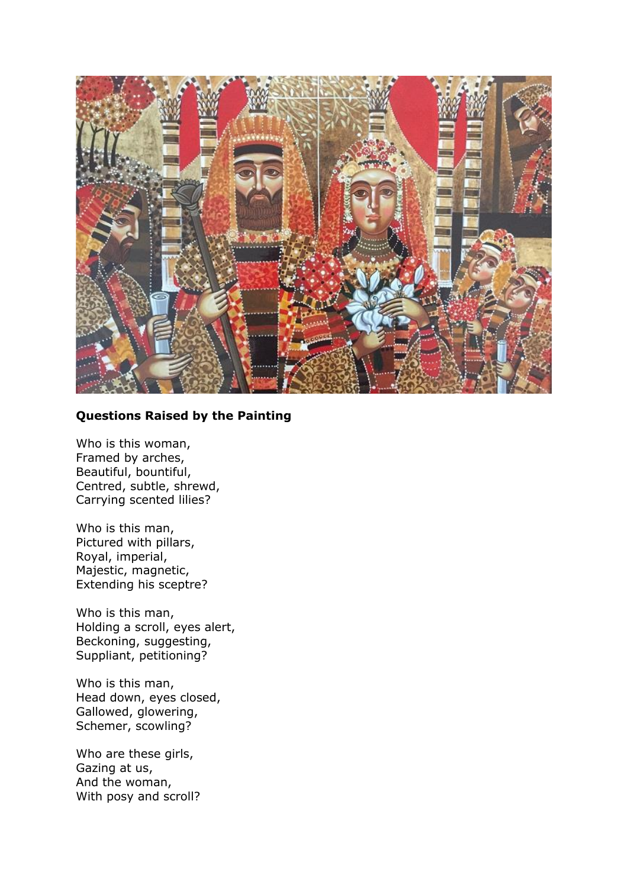

# **Questions Raised by the Painting**

Who is this woman, Framed by arches, Beautiful, bountiful, Centred, subtle, shrewd, Carrying scented lilies?

Who is this man, Pictured with pillars, Royal, imperial, Majestic, magnetic, Extending his sceptre?

Who is this man, Holding a scroll, eyes alert, Beckoning, suggesting, Suppliant, petitioning?

Who is this man, Head down, eyes closed, Gallowed, glowering, Schemer, scowling?

Who are these girls, Gazing at us, And the woman, With posy and scroll?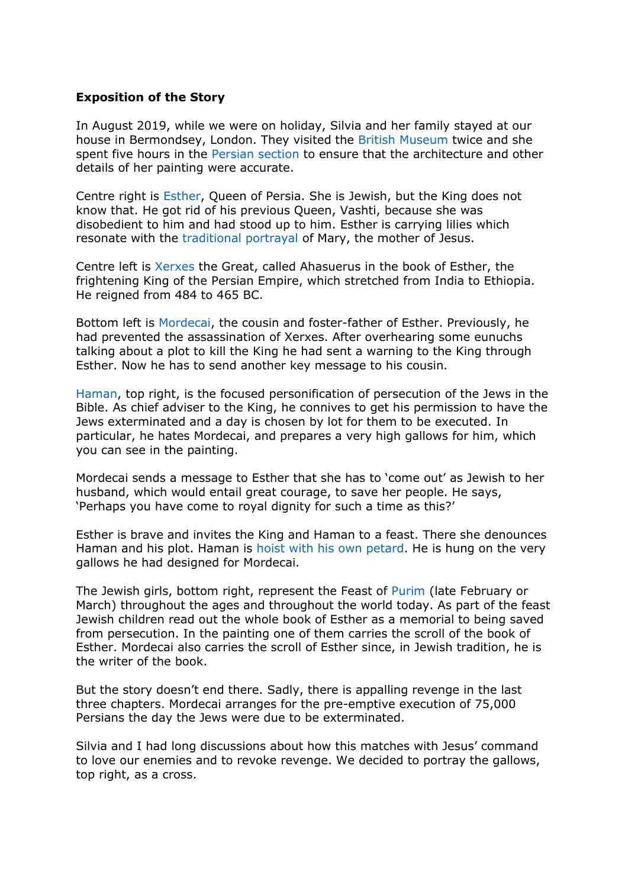#### **Exposition of the Story**

In August 2019, while we were on holiday, Silvia and her family stayed at our house in Bermondsey, London. They visited the [British Museum](https://www.britishmuseum.org/) twice and she spent five hours in the [Persian section](https://www.britishmuseum.org/collection/object/W_EPH-ME-386) to ensure that the architecture and other details of her painting were accurate.

Centre right is [Esther,](https://en.wikipedia.org/wiki/Esther) Queen of Persia. She is Jewish, but the King does not know that. He got rid of his previous Queen, Vashti, because she was disobedient to him and had stood up to him. Esther is carrying lilies which resonate with the [traditional portrayal](https://flowermag.com/consider-lily-flower/) of Mary, the mother of Jesus.

Centre left is [Xerxes](https://en.wikipedia.org/wiki/Xerxes_I) the Great, called Ahasuerus in the book of Esther, the frightening King of the Persian Empire, which stretched from India to Ethiopia. He reigned from 484 to 465 BC.

Bottom left is [Mordecai,](https://en.wikipedia.org/wiki/Mordecai) the cousin and foster-father of Esther. Previously, he had prevented the assassination of Xerxes. After overhearing some eunuchs talking about a plot to kill the King he had sent a warning to the King through Esther. Now he has to send another key message to his cousin.

[Haman,](https://en.wikipedia.org/wiki/Haman) top right, is the focused personification of persecution of the Jews in the Bible. As chief adviser to the King, he connives to get his permission to have the Jews exterminated and a day is chosen by lot for them to be executed. In particular, he hates Mordecai, and prepares a very high gallows for him, which you can see in the painting.

Mordecai sends a message to Esther that she has to 'come out' as Jewish to her husband, which would entail great courage, to save her people. He says, 'Perhaps you have come to royal dignity for such a time as this?'

Esther is brave and invites the King and Haman to a feast. There she denounces Haman and his plot. Haman is hoist with [his own petard.](https://en.wikipedia.org/wiki/Hoist_with_his_own_petard) He is hung on the very gallows he had designed for Mordecai.

The Jewish girls, bottom right, represent the Feast of [Purim](https://en.wikipedia.org/wiki/Purim) (late February or March) throughout the ages and throughout the world today. As part of the feast Jewish children read out the whole book of Esther as a memorial to being saved from persecution. In the painting one of them carries the scroll of the book of Esther. Mordecai also carries the scroll of Esther since, in Jewish tradition, he is the writer of the book.

But the story doesn't end there. Sadly, there is appalling revenge in the last three chapters. Mordecai arranges for the pre-emptive execution of 75,000 Persians the day the Jews were due to be exterminated.

Silvia and I had long discussions about how this matches with Jesus' command to love our enemies and to revoke revenge. We decided to portray the gallows, top right, as a cross.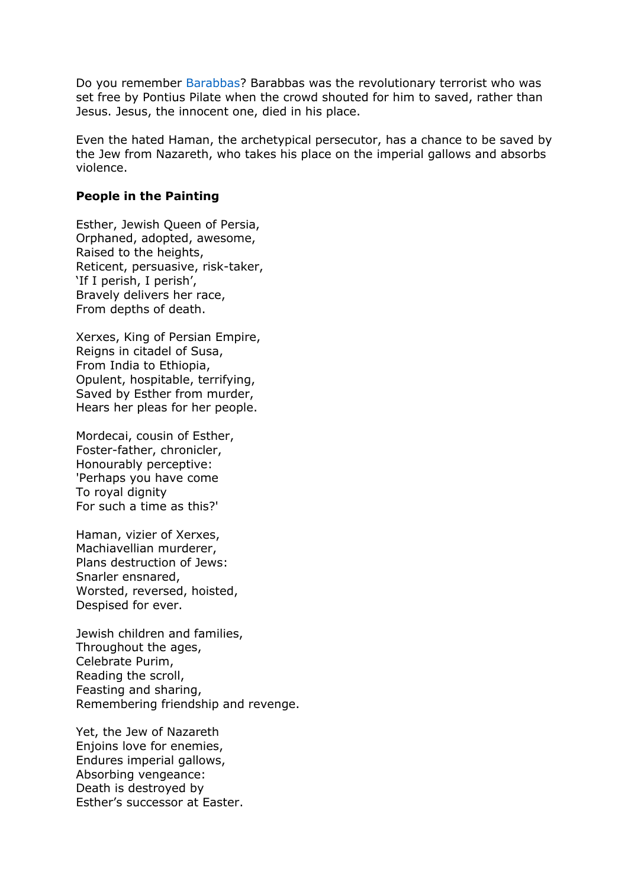Do you remember [Barabbas?](https://en.wikipedia.org/wiki/Barabbas) Barabbas was the revolutionary terrorist who was set free by Pontius Pilate when the crowd shouted for him to saved, rather than Jesus. Jesus, the innocent one, died in his place.

Even the hated Haman, the archetypical persecutor, has a chance to be saved by the Jew from Nazareth, who takes his place on the imperial gallows and absorbs violence.

#### **People in the Painting**

Esther, Jewish Queen of Persia, Orphaned, adopted, awesome, Raised to the heights, Reticent, persuasive, risk-taker, 'If I perish, I perish', Bravely delivers her race, From depths of death.

Xerxes, King of Persian Empire, Reigns in citadel of Susa, From India to Ethiopia, Opulent, hospitable, terrifying, Saved by Esther from murder, Hears her pleas for her people.

Mordecai, cousin of Esther, Foster-father, chronicler, Honourably perceptive: 'Perhaps you have come To royal dignity For such a time as this?'

Haman, vizier of Xerxes, Machiavellian murderer, Plans destruction of Jews: Snarler ensnared, Worsted, reversed, hoisted, Despised for ever.

Jewish children and families, Throughout the ages, Celebrate Purim, Reading the scroll, Feasting and sharing, Remembering friendship and revenge.

Yet, the Jew of Nazareth Enjoins love for enemies, Endures imperial gallows, Absorbing vengeance: Death is destroyed by Esther's successor at Easter.